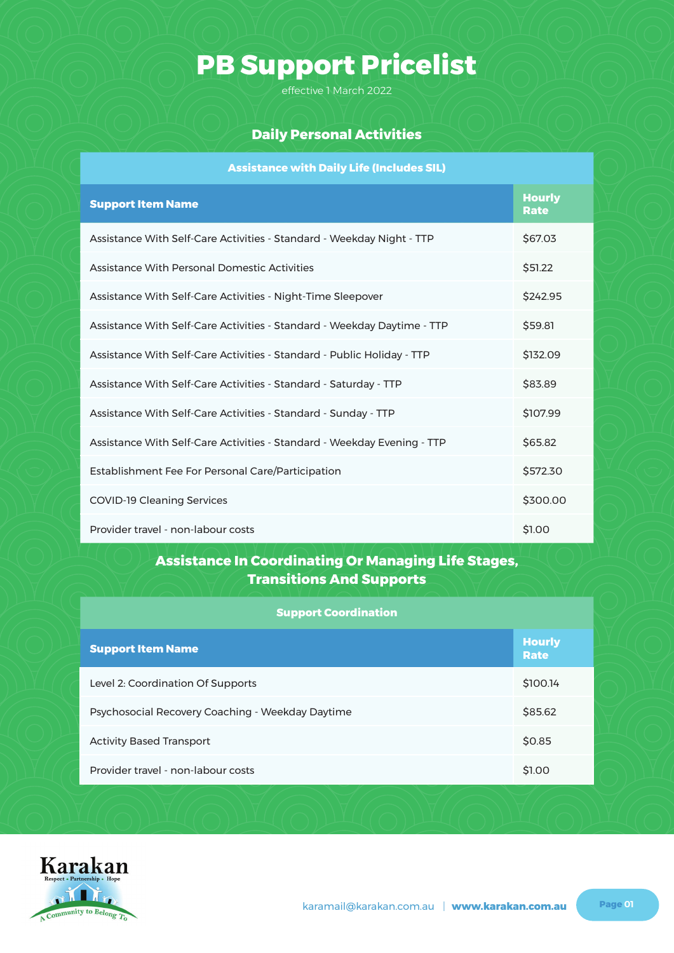effective 1 March 2022

### **Daily Personal Activities**

| <b>Assistance with Daily Life (Includes SIL)</b>                        |                              |
|-------------------------------------------------------------------------|------------------------------|
| <b>Support Item Name</b>                                                | <b>Hourly</b><br><b>Rate</b> |
| Assistance With Self-Care Activities - Standard - Weekday Night - TTP   | \$67.03                      |
| Assistance With Personal Domestic Activities                            | \$51.22                      |
| Assistance With Self-Care Activities - Night-Time Sleepover             | \$242.95                     |
| Assistance With Self-Care Activities - Standard - Weekday Daytime - TTP | \$59.81                      |
| Assistance With Self-Care Activities - Standard - Public Holiday - TTP  | \$132.09                     |
| Assistance With Self-Care Activities - Standard - Saturday - TTP        | \$83.89                      |
| Assistance With Self-Care Activities - Standard - Sunday - TTP          | \$107.99                     |
| Assistance With Self-Care Activities - Standard - Weekday Evening - TTP | \$65.82                      |
| Establishment Fee For Personal Care/Participation                       | \$572.30                     |
| <b>COVID-19 Cleaning Services</b>                                       | \$300.00                     |
| Provider travel - non-labour costs                                      | \$1.00                       |

#### **Assistance In Coordinating Or Managing Life Stages, Transitions And Supports**

#### **Support Coordination**

| <b>Support Item Name</b>                         | <b>Hourly</b><br>Rate |
|--------------------------------------------------|-----------------------|
| Level 2: Coordination Of Supports                | \$100.14              |
| Psychosocial Recovery Coaching - Weekday Daytime | \$85.62               |
| <b>Activity Based Transport</b>                  | \$0.85                |
| Provider travel - non-labour costs               | \$1.00                |

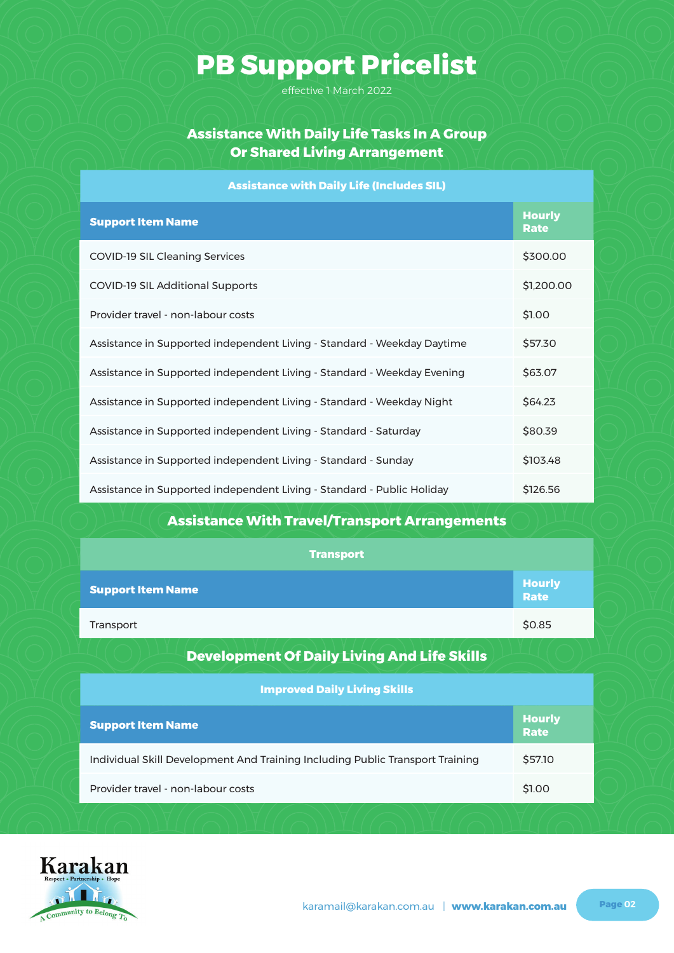effective 1 March 2022

### **Assistance With Daily Life Tasks In A Group Or Shared Living Arrangement**

#### **Assistance with Daily Life (Includes SIL)**

| <b>Support Item Name</b>                                                | <b>Hourly</b><br>Rate |
|-------------------------------------------------------------------------|-----------------------|
| COVID-19 SIL Cleaning Services                                          | \$300.00              |
| COVID-19 SIL Additional Supports                                        | \$1,200.00            |
| Provider travel - non-labour costs                                      | \$1.00                |
| Assistance in Supported independent Living - Standard - Weekday Daytime | \$57.30               |
| Assistance in Supported independent Living - Standard - Weekday Evening | \$63.07               |
| Assistance in Supported independent Living - Standard - Weekday Night   | \$64.23               |
| Assistance in Supported independent Living - Standard - Saturday        | \$80.39               |
| Assistance in Supported independent Living - Standard - Sunday          | \$103.48              |
| Assistance in Supported independent Living - Standard - Public Holiday  | \$126.56              |

### **Assistance With Travel/Transport Arrangements**

| <b>Transport</b>                                                              |                              |
|-------------------------------------------------------------------------------|------------------------------|
| <b>Support Item Name</b>                                                      | <b>Hourly</b><br><b>Rate</b> |
| Transport                                                                     | \$0.85                       |
| <b>Development Of Daily Living And Life Skills</b>                            |                              |
| <b>Improved Daily Living Skills</b>                                           |                              |
| <b>Support Item Name</b>                                                      | <b>Hourly</b><br><b>Rate</b> |
| Individual Skill Development And Training Including Public Transport Training | \$57.10                      |
| Provider travel - non-labour costs                                            | \$1.00                       |

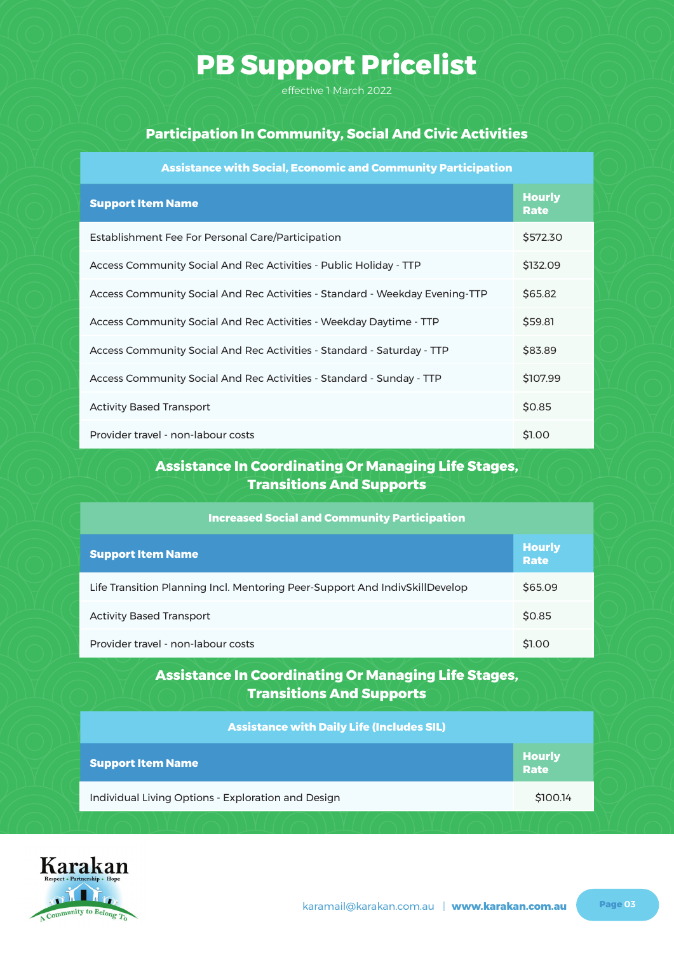effective 1 March 2022

#### **Participation In Community, Social And Civic Activities**

| <b>Assistance with Social, Economic and Community Participation</b>         |                              |
|-----------------------------------------------------------------------------|------------------------------|
| <b>Support Item Name</b>                                                    | <b>Hourly</b><br><b>Rate</b> |
| Establishment Fee For Personal Care/Participation                           | \$572.30                     |
| Access Community Social And Rec Activities - Public Holiday - TTP           | \$132.09                     |
| Access Community Social And Rec Activities - Standard - Weekday Evening-TTP | \$65.82                      |
| Access Community Social And Rec Activities - Weekday Daytime - TTP          | \$59.81                      |
| Access Community Social And Rec Activities - Standard - Saturday - TTP      | \$83.89                      |
| Access Community Social And Rec Activities - Standard - Sunday - TTP        | \$107.99                     |
| <b>Activity Based Transport</b>                                             | \$0.85                       |
| Provider travel - non-labour costs                                          | \$1.00                       |

### **Assistance In Coordinating Or Managing Life Stages, Transitions And Supports**

| <b>Increased Social and Community Participation</b>                         |                       |  |
|-----------------------------------------------------------------------------|-----------------------|--|
| <b>Support Item Name</b>                                                    | <b>Hourly</b><br>Rate |  |
| Life Transition Planning Incl. Mentoring Peer-Support And IndivSkillDevelop | \$65.09               |  |
| <b>Activity Based Transport</b>                                             | \$0.85                |  |
| Provider travel - non-labour costs                                          | \$1.00                |  |

#### **Assistance In Coordinating Or Managing Life Stages, Transitions And Supports**

| <b>Assistance with Daily Life (Includes SIL)</b>   |                       |
|----------------------------------------------------|-----------------------|
| <b>Support Item Name</b>                           | <b>Hourly</b><br>Rate |
| Individual Living Options - Exploration and Design | \$100.14              |